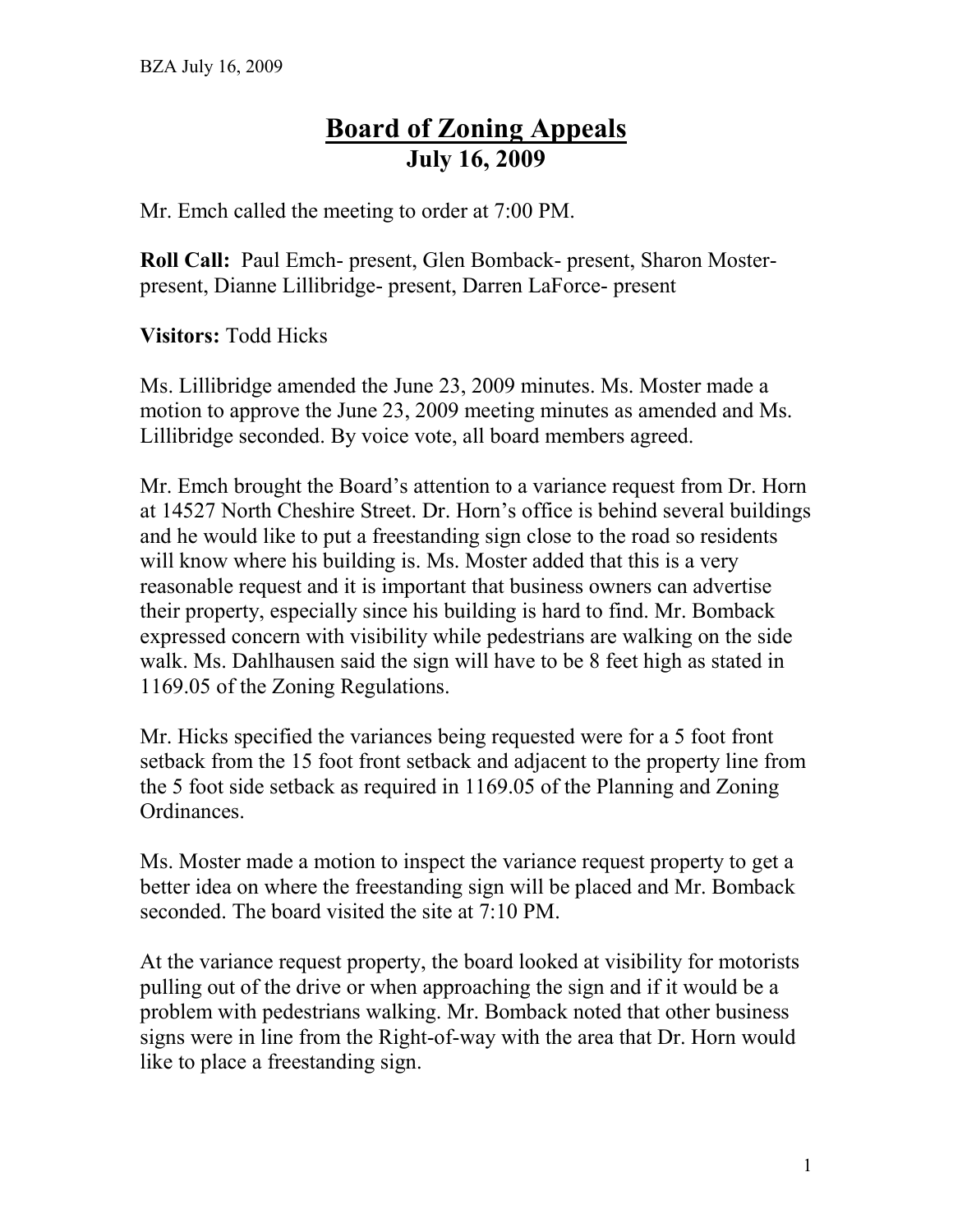## **Board of Zoning Appeals July 16, 2009**

Mr. Emch called the meeting to order at 7:00 PM.

**Roll Call:** Paul Emch- present, Glen Bomback- present, Sharon Mosterpresent, Dianne Lillibridge- present, Darren LaForce- present

**Visitors:** Todd Hicks

Ms. Lillibridge amended the June 23, 2009 minutes. Ms. Moster made a motion to approve the June 23, 2009 meeting minutes as amended and Ms. Lillibridge seconded. By voice vote, all board members agreed.

Mr. Emch brought the Board's attention to a variance request from Dr. Horn at 14527 North Cheshire Street. Dr. Horn's office is behind several buildings and he would like to put a freestanding sign close to the road so residents will know where his building is. Ms. Moster added that this is a very reasonable request and it is important that business owners can advertise their property, especially since his building is hard to find. Mr. Bomback expressed concern with visibility while pedestrians are walking on the side walk. Ms. Dahlhausen said the sign will have to be 8 feet high as stated in 1169.05 of the Zoning Regulations.

Mr. Hicks specified the variances being requested were for a 5 foot front setback from the 15 foot front setback and adjacent to the property line from the 5 foot side setback as required in 1169.05 of the Planning and Zoning Ordinances.

Ms. Moster made a motion to inspect the variance request property to get a better idea on where the freestanding sign will be placed and Mr. Bomback seconded. The board visited the site at 7:10 PM.

At the variance request property, the board looked at visibility for motorists pulling out of the drive or when approaching the sign and if it would be a problem with pedestrians walking. Mr. Bomback noted that other business signs were in line from the Right-of-way with the area that Dr. Horn would like to place a freestanding sign.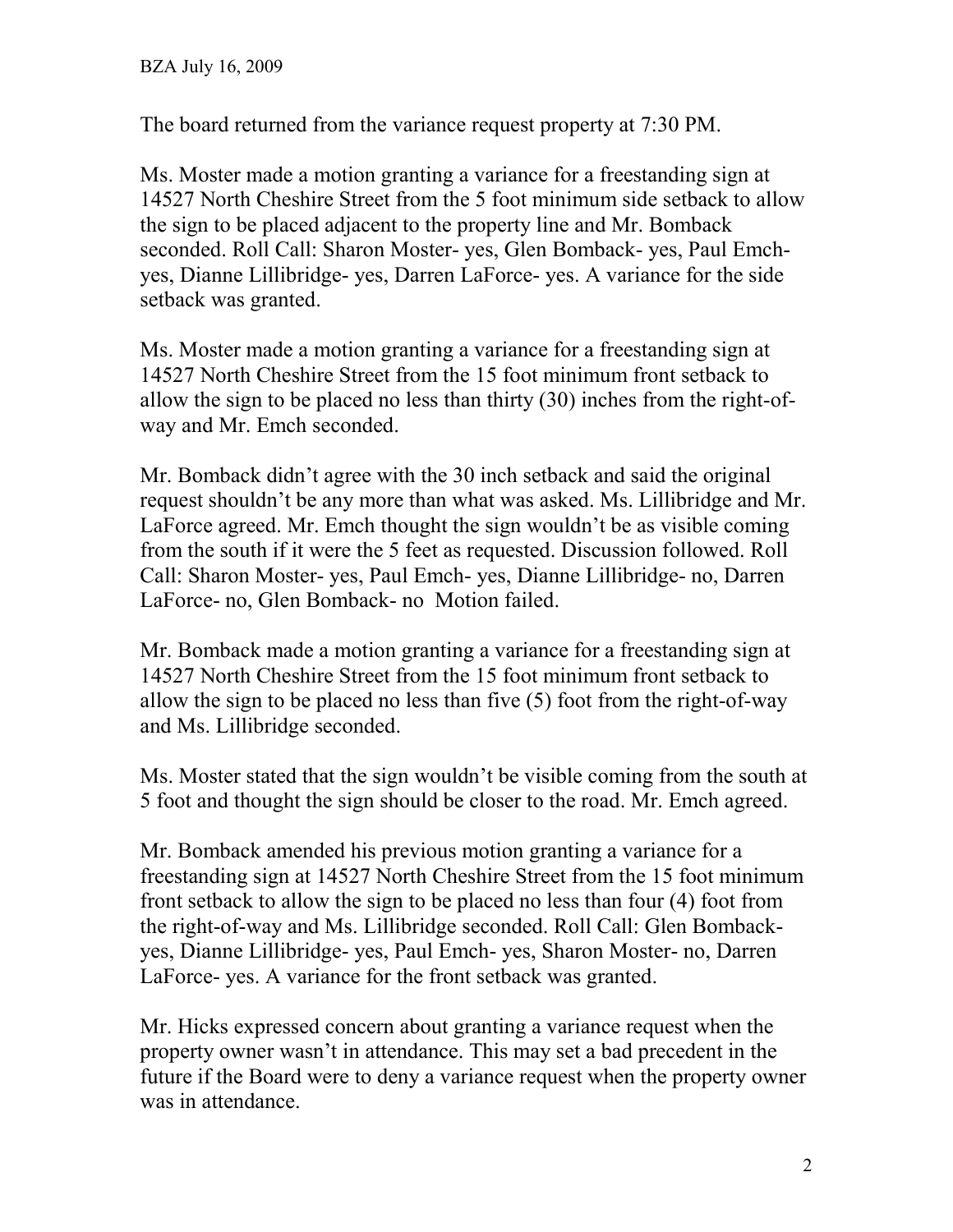The board returned from the variance request property at 7:30 PM.

Ms. Moster made a motion granting a variance for a freestanding sign at 14527 North Cheshire Street from the 5 foot minimum side setback to allow the sign to be placed adjacent to the property line and Mr. Bomback seconded. Roll Call: Sharon Moster- yes, Glen Bomback- yes, Paul Emchyes, Dianne Lillibridge- yes, Darren LaForce- yes. A variance for the side setback was granted.

Ms. Moster made a motion granting a variance for a freestanding sign at 14527 North Cheshire Street from the 15 foot minimum front setback to allow the sign to be placed no less than thirty (30) inches from the right-ofway and Mr. Emch seconded.

Mr. Bomback didn't agree with the 30 inch setback and said the original request shouldn't be any more than what was asked. Ms. Lillibridge and Mr. LaForce agreed. Mr. Emch thought the sign wouldn't be as visible coming from the south if it were the 5 feet as requested. Discussion followed. Roll Call: Sharon Moster- yes, Paul Emch- yes, Dianne Lillibridge- no, Darren LaForce- no, Glen Bomback- no Motion failed.

Mr. Bomback made a motion granting a variance for a freestanding sign at 14527 North Cheshire Street from the 15 foot minimum front setback to allow the sign to be placed no less than five (5) foot from the right-of-way and Ms. Lillibridge seconded.

Ms. Moster stated that the sign wouldn't be visible coming from the south at 5 foot and thought the sign should be closer to the road. Mr. Emch agreed.

Mr. Bomback amended his previous motion granting a variance for a freestanding sign at 14527 North Cheshire Street from the 15 foot minimum front setback to allow the sign to be placed no less than four (4) foot from the right-of-way and Ms. Lillibridge seconded. Roll Call: Glen Bombackyes, Dianne Lillibridge- yes, Paul Emch- yes, Sharon Moster- no, Darren LaForce- yes. A variance for the front setback was granted.

Mr. Hicks expressed concern about granting a variance request when the property owner wasn't in attendance. This may set a bad precedent in the future if the Board were to deny a variance request when the property owner was in attendance.